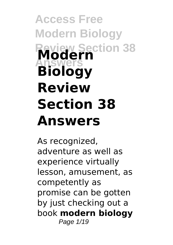# **Access Free Modern Biology Review Section 38 Answers Modern Biology Review Section 38 Answers**

As recognized, adventure as well as experience virtually lesson, amusement, as competently as promise can be gotten by just checking out a book **modern biology** Page  $1/19$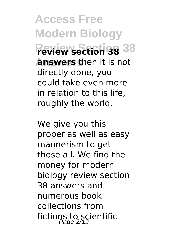**Access Free Modern Biology Review Section 38 review section 38 Answers answers** then it is not directly done, you could take even more in relation to this life, roughly the world.

We give you this proper as well as easy mannerism to get those all. We find the money for modern biology review section 38 answers and numerous book collections from fictions to scientific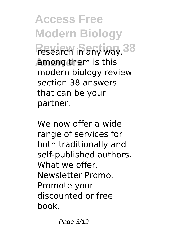**Access Free Modern Biology Research in any way. 38 Answers** among them is this modern biology review section 38 answers that can be your partner.

We now offer a wide range of services for both traditionally and self-published authors. What we offer. Newsletter Promo. Promote your discounted or free book.

Page 3/19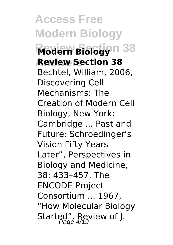**Access Free Modern Biology Review Biology**n 38 **Answers Review Section 38** Bechtel, William, 2006, Discovering Cell Mechanisms: The Creation of Modern Cell Biology, New York: Cambridge ... Past and Future: Schroedinger's Vision Fifty Years Later", Perspectives in Biology and Medicine, 38: 433–457. The ENCODE Project Consortium ... 1967, "How Molecular Biology Started", Review of J.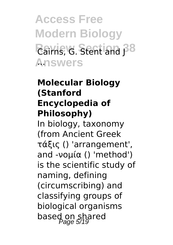**Access Free Modern Biology Rairns, G. Stent and 38 Answers** ...

## **Molecular Biology (Stanford Encyclopedia of Philosophy)**

In biology, taxonomy (from Ancient Greek τάξις () 'arrangement', and -νομία () 'method') is the scientific study of naming, defining (circumscribing) and classifying groups of biological organisms based on shared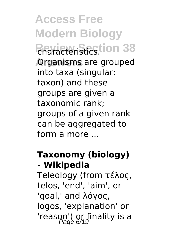**Access Free Modern Biology Review Section 38** characteristics. **Organisms are grouped** into taxa (singular: taxon) and these groups are given a taxonomic rank; groups of a given rank can be aggregated to form a more ...

## **Taxonomy (biology) - Wikipedia**

Teleology (from τέλος, telos, 'end', 'aim', or 'goal,' and λόγος, logos, 'explanation' or 'reason') or finality is a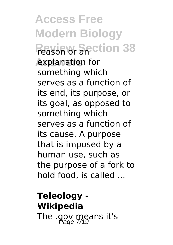**Access Free Modern Biology Reason or Section 38** explanation for something which serves as a function of its end, its purpose, or its goal, as opposed to something which serves as a function of its cause. A purpose that is imposed by a human use, such as the purpose of a fork to hold food, is called ...

**Teleology - Wikipedia** The  $.90V$  means it's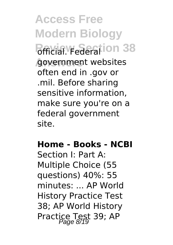**Access Free Modern Biology Bericial. Federation 38** government websites often end in .gov or .mil. Before sharing sensitive information, make sure you're on a federal government site.

**Home - Books - NCBI**

Section I: Part A: Multiple Choice (55 questions) 40%: 55 minutes: ... AP World History Practice Test 38; AP World History Practice Test 39; AP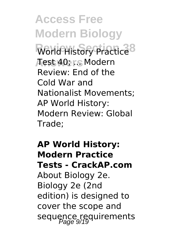**Access Free Modern Biology World History Practice<sup>8</sup> Answers** Test 40; ... Modern Review: End of the Cold War and Nationalist Movements; AP World History: Modern Review: Global Trade;

# **AP World History: Modern Practice Tests - CrackAP.com** About Biology 2e. Biology 2e (2nd edition) is designed to cover the scope and sequence requirements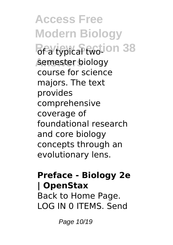**Access Free Modern Biology Revignical two-ion 38 Answers** semester biology course for science majors. The text provides comprehensive coverage of foundational research and core biology concepts through an evolutionary lens.

#### **Preface - Biology 2e | OpenStax**

Back to Home Page. LOG IN 0 ITEMS. Send

Page 10/19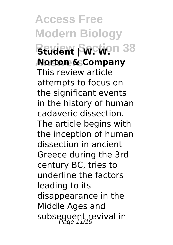**Access Free Modern Biology BEUDENT SOCTION 38 Answers Norton & Company** This review article attempts to focus on the significant events in the history of human cadaveric dissection. The article begins with the inception of human dissection in ancient Greece during the 3rd century BC, tries to underline the factors leading to its disappearance in the Middle Ages and subsequent revival in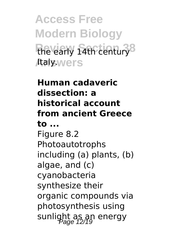**Access Free Modern Biology Review Section 38** the early 14th century Ataly.wers

# **Human cadaveric dissection: a historical account from ancient Greece to ...** Figure 8.2 Photoautotrophs including (a) plants, (b) algae, and (c) cyanobacteria synthesize their organic compounds via photosynthesis using sunlight as an energy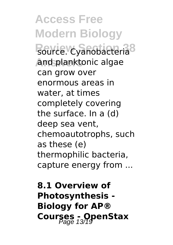**Access Free Modern Biology** Redirce. Cyanobacteria<sup>8</sup> **Answers** and planktonic algae can grow over enormous areas in water, at times completely covering the surface. In a (d) deep sea vent, chemoautotrophs, such as these (e) thermophilic bacteria, capture energy from ...

**8.1 Overview of Photosynthesis - Biology for AP® Courses - OpenStax**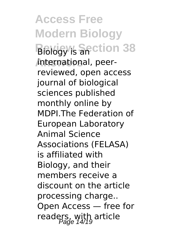**Access Free Modern Biology Biology's Section 38 Answers** international, peerreviewed, open access journal of biological sciences published monthly online by MDPI.The Federation of European Laboratory Animal Science Associations (FELASA) is affiliated with Biology, and their members receive a discount on the article processing charge.. Open Access — free for readers, with article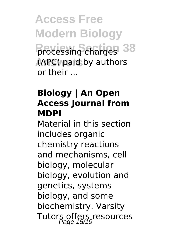**Access Free Modern Biology Processing charges** 38 **Answers** (APC) paid by authors or their ...

#### **Biology | An Open Access Journal from MDPI**

Material in this section includes organic chemistry reactions and mechanisms, cell biology, molecular biology, evolution and genetics, systems biology, and some biochemistry. Varsity Tutors offers resources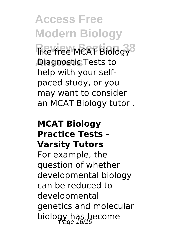**Access Free Modern Biology Rike free MCAT Biology**<sup>8</sup> **Answers** Diagnostic Tests to help with your selfpaced study, or you may want to consider an MCAT Biology tutor .

#### **MCAT Biology Practice Tests - Varsity Tutors**

For example, the question of whether developmental biology can be reduced to developmental genetics and molecular biology has become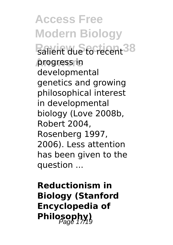**Access Free Modern Biology Ralient due to recent 38 Answers** progress in developmental genetics and growing philosophical interest in developmental biology (Love 2008b, Robert 2004, Rosenberg 1997, 2006). Less attention has been given to the question ...

**Reductionism in Biology (Stanford Encyclopedia of** Philosophy)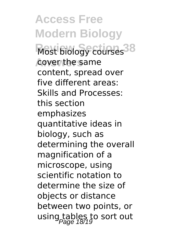**Access Free Modern Biology Most biology courses<sup>38</sup> Answers** cover the same content, spread over five different areas: Skills and Processes: this section emphasizes quantitative ideas in biology, such as determining the overall magnification of a microscope, using scientific notation to determine the size of objects or distance between two points, or using tables to sort out